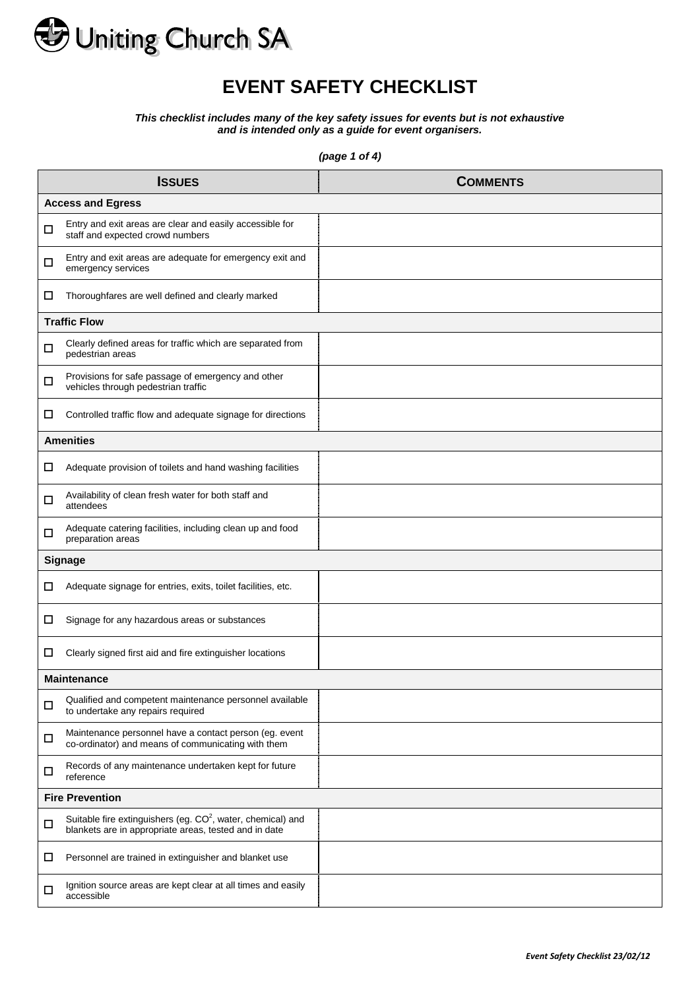

## **EVENT SAFETY CHECKLIST**

*This checklist includes many of the key safety issues for events but is not exhaustive and is intended only as a guide for event organisers.*

*(page 1 of 4)*

|                | <b>ISSUES</b>                                                                                                                    | <b>COMMENTS</b> |  |  |  |
|----------------|----------------------------------------------------------------------------------------------------------------------------------|-----------------|--|--|--|
|                | <b>Access and Egress</b>                                                                                                         |                 |  |  |  |
| □              | Entry and exit areas are clear and easily accessible for<br>staff and expected crowd numbers                                     |                 |  |  |  |
| □              | Entry and exit areas are adequate for emergency exit and<br>emergency services                                                   |                 |  |  |  |
| □              | Thoroughfares are well defined and clearly marked                                                                                |                 |  |  |  |
|                | <b>Traffic Flow</b>                                                                                                              |                 |  |  |  |
| □              | Clearly defined areas for traffic which are separated from<br>pedestrian areas                                                   |                 |  |  |  |
| □              | Provisions for safe passage of emergency and other<br>vehicles through pedestrian traffic                                        |                 |  |  |  |
| □              | Controlled traffic flow and adequate signage for directions                                                                      |                 |  |  |  |
|                | <b>Amenities</b>                                                                                                                 |                 |  |  |  |
| ⊔              | Adequate provision of toilets and hand washing facilities                                                                        |                 |  |  |  |
| □              | Availability of clean fresh water for both staff and<br>attendees                                                                |                 |  |  |  |
| □              | Adequate catering facilities, including clean up and food<br>preparation areas                                                   |                 |  |  |  |
| <b>Signage</b> |                                                                                                                                  |                 |  |  |  |
| □              | Adequate signage for entries, exits, toilet facilities, etc.                                                                     |                 |  |  |  |
| □              | Signage for any hazardous areas or substances                                                                                    |                 |  |  |  |
| ⊔              | Clearly signed first aid and fire extinguisher locations                                                                         |                 |  |  |  |
|                | <b>Maintenance</b>                                                                                                               |                 |  |  |  |
| □              | Qualified and competent maintenance personnel available<br>to undertake any repairs required                                     |                 |  |  |  |
| □              | Maintenance personnel have a contact person (eg. event<br>co-ordinator) and means of communicating with them                     |                 |  |  |  |
| □              | Records of any maintenance undertaken kept for future<br>reference                                                               |                 |  |  |  |
|                | <b>Fire Prevention</b>                                                                                                           |                 |  |  |  |
| □              | Suitable fire extinguishers (eg. CO <sup>2</sup> , water, chemical) and<br>blankets are in appropriate areas, tested and in date |                 |  |  |  |
| □              | Personnel are trained in extinguisher and blanket use                                                                            |                 |  |  |  |
| □              | Ignition source areas are kept clear at all times and easily<br>accessible                                                       |                 |  |  |  |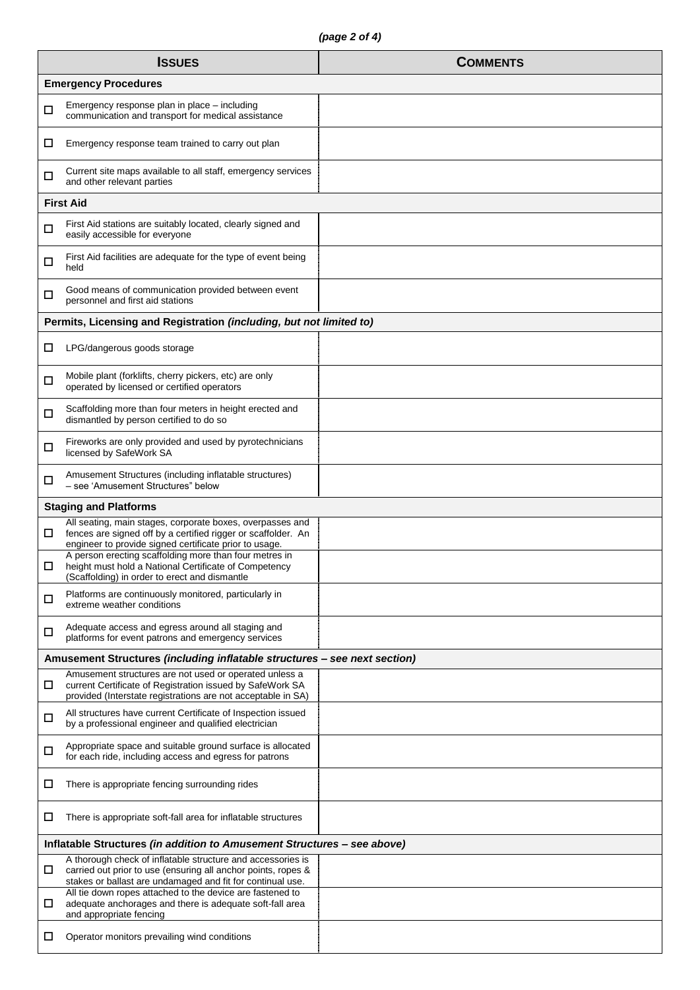|                                                                         | <b>ISSUES</b>                                                                                                                                                                              | <b>COMMENTS</b> |  |  |  |
|-------------------------------------------------------------------------|--------------------------------------------------------------------------------------------------------------------------------------------------------------------------------------------|-----------------|--|--|--|
| <b>Emergency Procedures</b>                                             |                                                                                                                                                                                            |                 |  |  |  |
| □                                                                       | Emergency response plan in place – including<br>communication and transport for medical assistance                                                                                         |                 |  |  |  |
| □                                                                       | Emergency response team trained to carry out plan                                                                                                                                          |                 |  |  |  |
| □                                                                       | Current site maps available to all staff, emergency services<br>and other relevant parties                                                                                                 |                 |  |  |  |
|                                                                         | <b>First Aid</b>                                                                                                                                                                           |                 |  |  |  |
| □                                                                       | First Aid stations are suitably located, clearly signed and<br>easily accessible for everyone                                                                                              |                 |  |  |  |
| □                                                                       | First Aid facilities are adequate for the type of event being<br>held                                                                                                                      |                 |  |  |  |
| □                                                                       | Good means of communication provided between event<br>personnel and first aid stations                                                                                                     |                 |  |  |  |
|                                                                         | Permits, Licensing and Registration (including, but not limited to)                                                                                                                        |                 |  |  |  |
| $\Box$                                                                  | LPG/dangerous goods storage                                                                                                                                                                |                 |  |  |  |
| □                                                                       | Mobile plant (forklifts, cherry pickers, etc) are only<br>operated by licensed or certified operators                                                                                      |                 |  |  |  |
| $\Box$                                                                  | Scaffolding more than four meters in height erected and<br>dismantled by person certified to do so                                                                                         |                 |  |  |  |
| □                                                                       | Fireworks are only provided and used by pyrotechnicians<br>licensed by SafeWork SA                                                                                                         |                 |  |  |  |
| □                                                                       | Amusement Structures (including inflatable structures)<br>- see 'Amusement Structures" below                                                                                               |                 |  |  |  |
|                                                                         | <b>Staging and Platforms</b>                                                                                                                                                               |                 |  |  |  |
| ◻                                                                       | All seating, main stages, corporate boxes, overpasses and<br>fences are signed off by a certified rigger or scaffolder. An<br>engineer to provide signed certificate prior to usage.       |                 |  |  |  |
| □                                                                       | A person erecting scaffolding more than four metres in<br>height must hold a National Certificate of Competency<br>(Scaffolding) in order to erect and dismantle                           |                 |  |  |  |
| $\Box$                                                                  | Platforms are continuously monitored, particularly in<br>extreme weather conditions                                                                                                        |                 |  |  |  |
| □                                                                       | Adequate access and egress around all staging and<br>platforms for event patrons and emergency services                                                                                    |                 |  |  |  |
|                                                                         | Amusement Structures (including inflatable structures - see next section)                                                                                                                  |                 |  |  |  |
| □                                                                       | Amusement structures are not used or operated unless a<br>current Certificate of Registration issued by SafeWork SA<br>provided (Interstate registrations are not acceptable in SA)        |                 |  |  |  |
| □                                                                       | All structures have current Certificate of Inspection issued<br>by a professional engineer and qualified electrician                                                                       |                 |  |  |  |
| □                                                                       | Appropriate space and suitable ground surface is allocated<br>for each ride, including access and egress for patrons                                                                       |                 |  |  |  |
| □                                                                       | There is appropriate fencing surrounding rides                                                                                                                                             |                 |  |  |  |
| $\Box$                                                                  | There is appropriate soft-fall area for inflatable structures                                                                                                                              |                 |  |  |  |
| Inflatable Structures (in addition to Amusement Structures - see above) |                                                                                                                                                                                            |                 |  |  |  |
| □                                                                       | A thorough check of inflatable structure and accessories is<br>carried out prior to use (ensuring all anchor points, ropes &<br>stakes or ballast are undamaged and fit for continual use. |                 |  |  |  |
| ш                                                                       | All tie down ropes attached to the device are fastened to<br>adequate anchorages and there is adequate soft-fall area<br>and appropriate fencing                                           |                 |  |  |  |
| □                                                                       | Operator monitors prevailing wind conditions                                                                                                                                               |                 |  |  |  |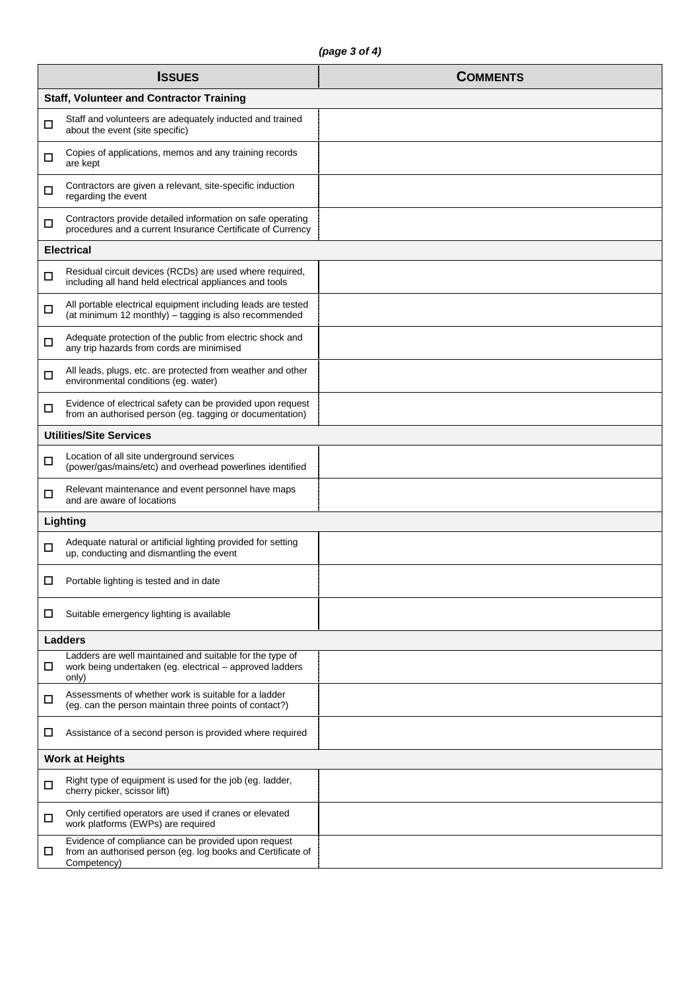|   | <b>ISSUES</b>                                                                                                                     | <b>COMMENTS</b> |  |  |  |
|---|-----------------------------------------------------------------------------------------------------------------------------------|-----------------|--|--|--|
|   | <b>Staff, Volunteer and Contractor Training</b>                                                                                   |                 |  |  |  |
| □ | Staff and volunteers are adequately inducted and trained<br>about the event (site specific)                                       |                 |  |  |  |
| □ | Copies of applications, memos and any training records<br>are kept                                                                |                 |  |  |  |
| □ | Contractors are given a relevant, site-specific induction<br>regarding the event                                                  |                 |  |  |  |
| □ | Contractors provide detailed information on safe operating<br>procedures and a current Insurance Certificate of Currency          |                 |  |  |  |
|   | <b>Electrical</b>                                                                                                                 |                 |  |  |  |
| □ | Residual circuit devices (RCDs) are used where required,<br>including all hand held electrical appliances and tools               |                 |  |  |  |
| □ | All portable electrical equipment including leads are tested<br>(at minimum 12 monthly) - tagging is also recommended             |                 |  |  |  |
| □ | Adequate protection of the public from electric shock and<br>any trip hazards from cords are minimised                            |                 |  |  |  |
| □ | All leads, plugs, etc. are protected from weather and other<br>environmental conditions (eg. water)                               |                 |  |  |  |
| □ | Evidence of electrical safety can be provided upon request<br>from an authorised person (eg. tagging or documentation)            |                 |  |  |  |
|   | <b>Utilities/Site Services</b>                                                                                                    |                 |  |  |  |
| □ | Location of all site underground services<br>(power/gas/mains/etc) and overhead powerlines identified                             |                 |  |  |  |
| □ | Relevant maintenance and event personnel have maps<br>and are aware of locations                                                  |                 |  |  |  |
|   | Lighting                                                                                                                          |                 |  |  |  |
| □ | Adequate natural or artificial lighting provided for setting<br>up, conducting and dismantling the event                          |                 |  |  |  |
| □ | Portable lighting is tested and in date                                                                                           |                 |  |  |  |
| ப | Suitable emergency lighting is available                                                                                          |                 |  |  |  |
|   | <b>Ladders</b>                                                                                                                    |                 |  |  |  |
| □ | Ladders are well maintained and suitable for the type of<br>work being undertaken (eg. electrical – approved ladders<br>only)     |                 |  |  |  |
| □ | Assessments of whether work is suitable for a ladder<br>(eg. can the person maintain three points of contact?)                    |                 |  |  |  |
| □ | Assistance of a second person is provided where required                                                                          |                 |  |  |  |
|   | <b>Work at Heights</b>                                                                                                            |                 |  |  |  |
| □ | Right type of equipment is used for the job (eg. ladder,<br>cherry picker, scissor lift)                                          |                 |  |  |  |
| □ | Only certified operators are used if cranes or elevated<br>work platforms (EWPs) are required                                     |                 |  |  |  |
| □ | Evidence of compliance can be provided upon request<br>from an authorised person (eg. log books and Certificate of<br>Competency) |                 |  |  |  |